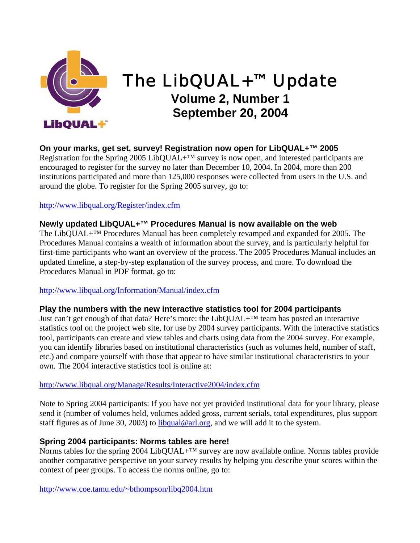

# The LibQUAL+™ Update **Volume 2, Number 1 September 20, 2004**

**On your marks, get set, survey! Registration now open for LibQUAL+™ 2005**  Registration for the Spring 2005 LibQUAL+™ survey is now open, and interested participants are encouraged to register for the survey no later than December 10, 2004. In 2004, more than 200 institutions participated and more than 125,000 responses were collected from users in the U.S. and around the globe. To register for the Spring 2005 survey, go to:

#### [http://www.libqual.org/Register/index.cfm](http://old.libqual.org/Register/index.cfm)

## **Newly updated LibQUAL+™ Procedures Manual is now available on the web**

The LibQUAL+™ Procedures Manual has been completely revamped and expanded for 2005. The Procedures Manual contains a wealth of information about the survey, and is particularly helpful for first-time participants who want an overview of the process. The 2005 Procedures Manual includes an updated timeline, a step-by-step explanation of the survey process, and more. To download the Procedures Manual in PDF format, go to:

#### [http://www.libqual.org/Information/Manual/index.cfm](http://old.libqual.org/Information/Manual/index.cfm)

#### **Play the numbers with the new interactive statistics tool for 2004 participants**

Just can't get enough of that data? Here's more: the LibQUAL+™ team has posted an interactive statistics tool on the project web site, for use by 2004 survey participants. With the interactive statistics tool, participants can create and view tables and charts using data from the 2004 survey. For example, you can identify libraries based on institutional characteristics (such as volumes held, number of staff, etc.) and compare yourself with those that appear to have similar institutional characteristics to your own. The 2004 interactive statistics tool is online at:

#### [http://www.libqual.org/Manage/Results/Interactive2004/index.cfm](http://old.libqual.org/Manage/Results/Interactive2004/index.cfm)

Note to Spring 2004 participants: If you have not yet provided institutional data for your library, please send it (number of volumes held, volumes added gross, current serials, total expenditures, plus support staff figures as of June 30, 2003) to [libqual@arl.org,](mailto:libqual@arl.org) and we will add it to the system.

#### **Spring 2004 participants: Norms tables are here!**

Norms tables for the spring 2004 LibQUAL+<sup>™</sup> survey are now available online. Norms tables provide another comparative perspective on your survey results by helping you describe your scores within the context of peer groups. To access the norms online, go to:

<http://www.coe.tamu.edu/~bthompson/libq2004.htm>